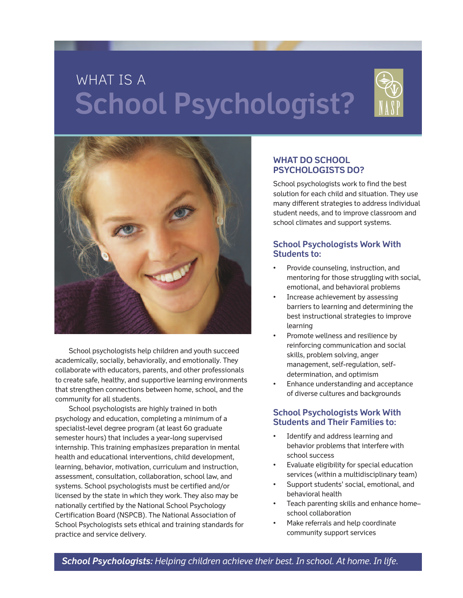# WHAT IS A **School Psychologist?**





School psychologists help children and youth succeed academically, socially, behaviorally, and emotionally. They collaborate with educators, parents, and other professionals to create safe, healthy, and supportive learning environments that strengthen connections between home, school, and the community for all students.

School psychologists are highly trained in both psychology and education, completing a minimum of a specialist-level degree program (at least 60 graduate semester hours) that includes a year-long supervised internship. This training emphasizes preparation in mental health and educational interventions, child development, learning, behavior, motivation, curriculum and instruction, assessment, consultation, collaboration, school law, and systems. School psychologists must be certified and/or licensed by the state in which they work. They also may be nationally certified by the National School Psychology Certification Board (NSPCB). The National Association of School Psychologists sets ethical and training standards for practice and service delivery.

#### **WHAT DO SCHOOL PSYCHOLOGISTS DO?**

School psychologists work to find the best solution for each child and situation. They use many different strategies to address individual student needs, and to improve classroom and school climates and support systems.

# **School Psychologists Work With Students to:**

- Provide counseling, instruction, and mentoring for those struggling with social, emotional, and behavioral problems
- Increase achievement by assessing barriers to learning and determining the best instructional strategies to improve learning
- Promote wellness and resilience by reinforcing communication and social skills, problem solving, anger management, self-regulation, selfdetermination, and optimism
- Enhance understanding and acceptance of diverse cultures and backgrounds

## **School Psychologists Work With Students and Their Families to:**

- Identify and address learning and behavior problems that interfere with school success
- Evaluate eligibility for special education services (within a multidisciplinary team)
- Support students' social, emotional, and behavioral health
- Teach parenting skills and enhance home– school collaboration
- Make referrals and help coordinate community support services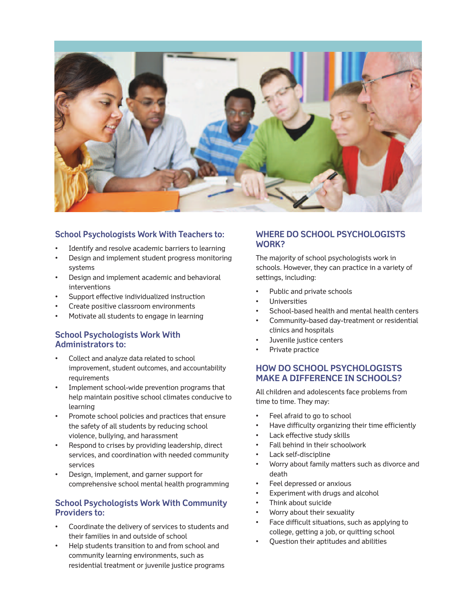

#### **School Psychologists Work With Teachers to:**

- Identify and resolve academic barriers to learning
- Design and implement student progress monitoring systems
- Design and implement academic and behavioral interventions
- Support effective individualized instruction
- Create positive classroom environments
- Motivate all students to engage in learning

## **School Psychologists Work With Administrators to:**

- Collect and analyze data related to school improvement, student outcomes, and accountability requirements
- Implement school-wide prevention programs that help maintain positive school climates conducive to learning
- Promote school policies and practices that ensure the safety of all students by reducing school violence, bullying, and harassment
- Respond to crises by providing leadership, direct services, and coordination with needed community services
- Design, implement, and garner support for comprehensive school mental health programming

## **School Psychologists Work With Community Providers to:**

- Coordinate the delivery of services to students and their families in and outside of school
- Help students transition to and from school and community learning environments, such as residential treatment or juvenile justice programs

#### **WHERE DO SCHOOL PSYCHOLOGISTS WORK?**

The majority of school psychologists work in schools. However, they can practice in a variety of settings, including:

- Public and private schools
- Universities
- School-based health and mental health centers
- Community-based day-treatment or residential clinics and hospitals
- Juvenile justice centers
- Private practice

## **HOW DO SCHOOL PSYCHOLOGISTS MAKE A DIFFERENCE IN SCHOOLS?**

All children and adolescents face problems from time to time. They may:

- Feel afraid to go to school
- Have difficulty organizing their time efficiently
- Lack effective study skills
- Fall behind in their schoolwork
- Lack self-discipline
- Worry about family matters such as divorce and death
- Feel depressed or anxious
- Experiment with drugs and alcohol
- Think about suicide
- Worry about their sexuality
- Face difficult situations, such as applying to college, getting a job, or quitting school
- Question their aptitudes and abilities